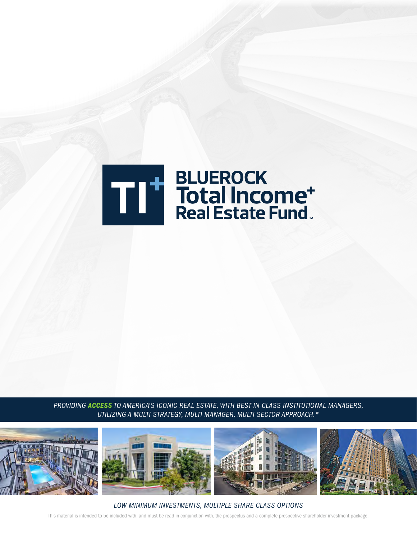

*PROVIDING ACCESS TO AMERICA'S ICONIC REAL ESTATE, WITH BEST-IN-CLASS INSTITUTIONAL MANAGERS, UTILIZING A MULTI-STRATEGY, MULTI-MANAGER, MULTI-SECTOR APPROACH.\**



This material is intended to be included with, and must be read in conjunction with, the prospectus and a complete prospective shareholder investment package. *LOW MINIMUM INVESTMENTS, MULTIPLE SHARE CLASS OPTIONS*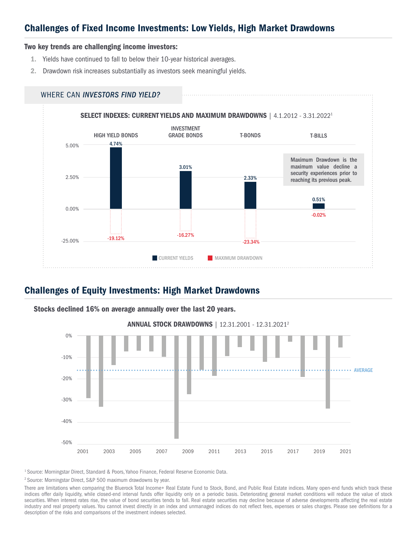## Challenges of Fixed Income Investments: Low Yields, High Market Drawdowns

#### Two key trends are challenging income investors:

- 1. Yields have continued to fall to below their 10-year historical averages.
- 2. Drawdown risk increases substantially as investors seek meaningful yields.



### Challenges of Equity Investments: High Market Drawdowns



Stocks declined 16% on average annually over the last 20 years.

<sup>1</sup> Source: Morningstar Direct, Standard & Poors, Yahoo Finance, Federal Reserve Economic Data.

2 Source: Morningstar Direct, S&P 500 maximum drawdowns by year.

There are limitations when comparing the Bluerock Total Income+ Real Estate Fund to Stock, Bond, and Public Real Estate indices. Many open-end funds which track these indices offer daily liquidity, while closed-end interval funds offer liquidity only on a periodic basis. Deteriorating general market conditions will reduce the value of stock securities. When interest rates rise, the value of bond securities tends to fall. Real estate securities may decline because of adverse developments affecting the real estate industry and real property values. You cannot invest directly in an index and unmanaged indices do not reflect fees, expenses or sales charges. Please see definitions for a description of the risks and comparisons of the investment indexes selected.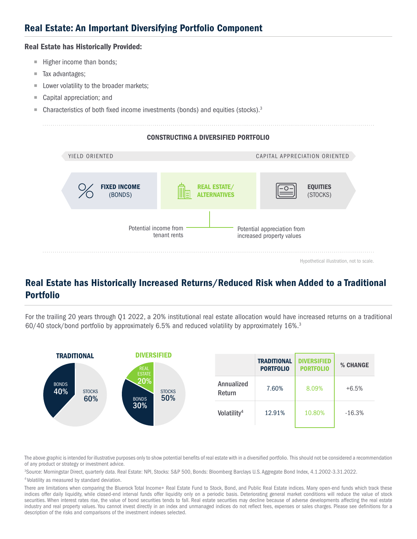## Real Estate: An Important Diversifying Portfolio Component

#### Real Estate has Historically Provided:

- $\blacksquare$  Higher income than bonds;
- Tax advantages;
- **Lower volatility to the broader markets;**
- Capital appreciation; and
- $\blacksquare$  Characteristics of both fixed income investments (bonds) and equities (stocks).<sup>3</sup>

#### CONSTRUCTING A DIVERSIFIED PORTFOLIO



## Real Estate has Historically Increased Returns/Reduced Risk when Added to a Traditional Portfolio

For the trailing 20 years through Q1 2022, a 20% institutional real estate allocation would have increased returns on a traditional 60/40 stock/bond portfolio by approximately 6.5% and reduced volatility by approximately 16%.3



The above graphic is intended for illustrative purposes only to show potential benefits of real estate with in a diversified portfolio. This should not be considered a recommendation of any product or strategy or investment advice.

3 Source: Morningstar Direct, quarterly data. Real Estate: NPI, Stocks: S&P 500, Bonds: Bloomberg Barclays U.S. Aggregate Bond Index, 4.1.2002-3.31.2022.

4 Volatility as measured by standard deviation.

There are limitations when comparing the Bluerock Total Income+ Real Estate Fund to Stock, Bond, and Public Real Estate indices. Many open-end funds which track these indices offer daily liquidity, while closed-end interval funds offer liquidity only on a periodic basis. Deteriorating general market conditions will reduce the value of stock securities. When interest rates rise, the value of bond securities tends to fall. Real estate securities may decline because of adverse developments affecting the real estate industry and real property values. You cannot invest directly in an index and unmanaged indices do not reflect fees, expenses or sales charges. Please see definitions for a description of the risks and comparisons of the investment indexes selected.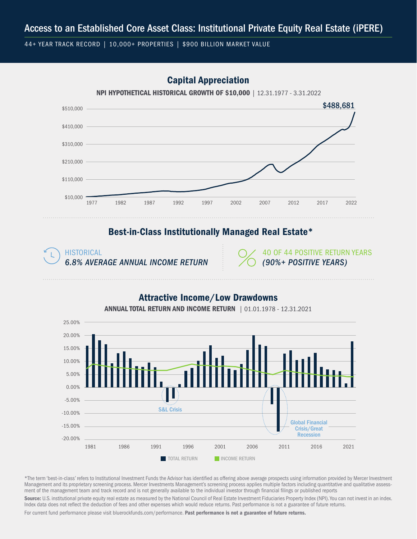44+ YEAR TRACK RECORD | 10,000+ PROPERTIES | \$900 BILLION MARKET VALUE

## Capital Appreciation



NPI HYPOTHETICAL HISTORICAL GROWTH OF \$10,000 | 12.31.1977 - 3.31.2022

### Best-in-Class Institutionally Managed Real Estate\*

HISTORICAL *6.8% AVERAGE ANNUAL INCOME RETURN*

40 OF 44 POSITIVE RETURN YEARS *(90%+ POSITIVE YEARS)*

### Attractive Income/Low Drawdowns



ANNUAL TOTAL RETURN AND INCOME RETURN | 01.01.1978 - 12.31.2021

\*The term 'best-in-class' refers to Institutional Investment Funds the Advisor has identified as offering above average prospects using information provided by Mercer Investment Management and its proprietary screening process. Mercer Investments Management's screening process applies multiple factors including quantitative and qualitative assessment of the management team and track record and is not generally available to the individual investor through financial filings or published reports

Source: U.S. institutional private equity real estate as measured by the National Council of Real Estate Investment Fiduciaries Property Index (NPI). You can not invest in an index. Index data does not reflect the deduction of fees and other expenses which would reduce returns. Past performance is not a guarantee of future returns.

For current fund performance please visit bluerockfunds.com/performance. Past performance is not a guarantee of future returns.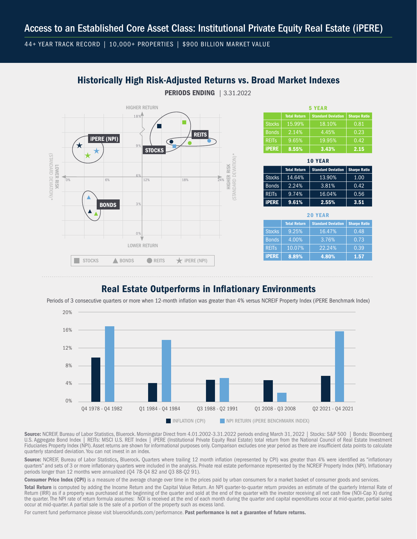44+ YEAR TRACK RECORD | 10,000+ PROPERTIES | \$900 BILLION MARKET VALUE

### Historically High Risk-Adjusted Returns vs. Broad Market Indexes

PERIODS ENDING | 3.31.2022



| 5 YEAR        |                     |                           |                     |  |  |
|---------------|---------------------|---------------------------|---------------------|--|--|
|               | <b>Total Return</b> | <b>Standard Deviation</b> | <b>Sharpe Ratio</b> |  |  |
| <b>Stocks</b> | 15.99%              | 18.10%                    | 0.81                |  |  |
| <b>Bonds</b>  | 2.14%               | 4.45%                     | 0.23                |  |  |
| <b>REITS</b>  | 9.65%               | 19.95%                    | 0.42                |  |  |
| <b>iPERE</b>  | 8.55%               | 3.43%                     | 2.15                |  |  |

| <b>10 YEAR</b> |                     |                           |                     |  |  |
|----------------|---------------------|---------------------------|---------------------|--|--|
|                | <b>Total Return</b> | <b>Standard Deviation</b> | <b>Sharpe Ratio</b> |  |  |
| Stocks         | 14.64%              | 13.90%                    | 1.00                |  |  |
| <b>Bonds</b>   | 2.24%               | 3.81%                     | 0.42                |  |  |
| <b>REITS</b>   | 9.74%               | 16.04%                    | 0.56                |  |  |
| <b>IPERE</b>   | 9.61%               | 2.55%                     | 3.51                |  |  |

| <b>20 YEAR</b> |                     |                           |                     |  |  |
|----------------|---------------------|---------------------------|---------------------|--|--|
|                | <b>Total Return</b> | <b>Standard Deviation</b> | <b>Sharpe Ratio</b> |  |  |
| <b>Stocks</b>  | 9.25%               | 16.47%                    | 0.48                |  |  |
| <b>Bonds</b>   | 4.00%               | 3.76%                     | 0.73                |  |  |
| <b>REITS</b>   | 10.07%              | 22.24%                    | 0.39                |  |  |
| <b>IPERE</b>   | 8.89%               | 4.80%                     | 1.57                |  |  |

## Real Estate Outperforms in Inflationary Environments





Source: NCREIF, Bureau of Labor Statistics, Bluerock. Morningstar Direct from 4.01.2002-3.31.2022 periods ending March 31, 2022 | Stocks: S&P 500 | Bonds: Bloomberg U.S. Aggregate Bond Index | REITs: MSCI U.S. REIT Index | iPERE (Institutional Private Equity Real Estate) total return from the National Council of Real Estate Investment Fiduciaries Property Index (NPI). Asset returns are shown for informational purposes only. Comparison excludes one year period as there are insufficient data points to calculate quarterly standard deviation. You can not invest in an index.

Source: NCREIF, Bureau of Labor Statistics, Bluerock. Quarters where trailing 12 month inflation (represented by CPI) was greater than 4% were identified as "inflationary quarters" and sets of 3 or more inflationary quarters were included in the analysis. Private real estate performance represented by the NCREIF Property Index (NPI). Inflationary periods longer than 12 months were annualized (Q4 78-Q4 82 and Q3 88-Q2 91).

Consumer Price Index (CPI) is a measure of the average change over time in the prices paid by urban consumers for a market basket of consumer goods and services.

Total Return is computed by adding the Income Return and the Capital Value Return. An NPI quarter-to-quarter return provides an estimate of the quarterly Internal Rate of Return (IRR) as if a property was purchased at the beginning of the quarter and sold at the end of the quarter with the investor receiving all net cash flow (NOI-Cap X) during the quarter. The NPI rate of return formula assumes: NOI is received at the end of each month during the quarter and capital expenditures occur at mid-quarter, partial sales occur at mid-quarter. A partial sale is the sale of a portion of the property such as excess land.

For current fund performance please visit bluerockfunds.com/performance. Past performance is not a guarantee of future returns.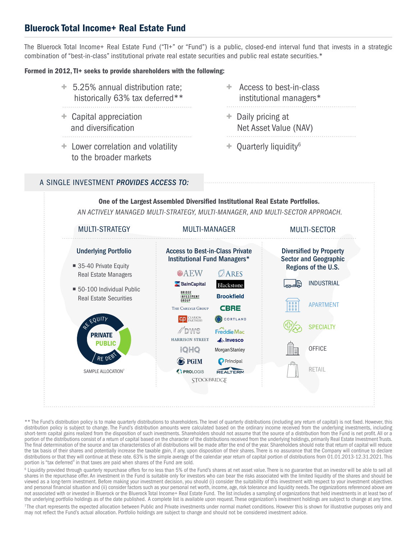## Bluerock Total Income+ Real Estate Fund

The Bluerock Total Income+ Real Estate Fund ("TI+" or "Fund") is a public, closed-end interval fund that invests in a strategic combination of "best-in-class" institutional private real estate securities and public real estate securities.\*

#### Formed in 2012, TI+ seeks to provide shareholders with the following:

- + 5.25% annual distribution rate; historically 63% tax deferred\*\*
- + Capital appreciation and diversification
- + Lower correlation and volatility to the broader markets
- + Access to best-in-class institutional managers\*
- + Daily pricing at Net Asset Value (NAV)
- $+$  Quarterly liquidity<sup>6</sup>

#### A SINGLE INVESTMENT *PROVIDES ACCESS TO:*



\*\* The Fund's distribution policy is to make quarterly distributions to shareholders. The level of quarterly distributions (including any return of capital) is not fixed. However, this distribution policy is subject to change. The Fund's distribution amounts were calculated based on the ordinary income received from the underlying investments, including short-term capital gains realized from the disposition of such investments. Shareholders should not assume that the source of a distribution from the Fund is net profit. All or a portion of the distributions consist of a return of capital based on the character of the distributions received from the underlying holdings, primarily Real Estate Investment Trusts. The final determination of the source and tax characteristics of all distributions will be made after the end of the year. Shareholders should note that return of capital will reduce the tax basis of their shares and potentially increase the taxable gain, if any, upon disposition of their shares. There is no assurance that the Company will continue to declare distributions or that they will continue at these rate. 63% is the simple average of the calendar year return of capital portion of distributions from 01.01.2013-12.31.2021. This portion is "tax deferred" in that taxes are paid when shares of the Fund are sold.

<sup>6</sup> Liquidity provided through quarterly repurchase offers for no less than 5% of the Fund's shares at net asset value. There is no guarantee that an investor will be able to sell all shares in the repurchase offer. An investment in the Fund is suitable only for investors who can bear the risks associated with the limited liquidity of the shares and should be viewed as a long-term investment. Before making your investment decision, you should (i) consider the suitability of this investment with respect to your investment objectives and personal financial situation and (ii) consider factors such as your personal net worth, income, age, risk tolerance and liquidity needs. The organizations referenced above are not associated with or invested in Bluerock or the Bluerock Total Income+ Real Estate Fund. The list includes a sampling of organizations that held investments in at least two of the underlying portfolio holdings as of the date published. A complete list is available upon request. These organization's investment holdings are subject to change at any time.

<sup>7</sup>The chart represents the expected allocation between Public and Private investments under normal market conditions. However this is shown for illustrative purposes only and may not reflect the Fund's actual allocation. Portfolio holdings are subject to change and should not be considered investment advice.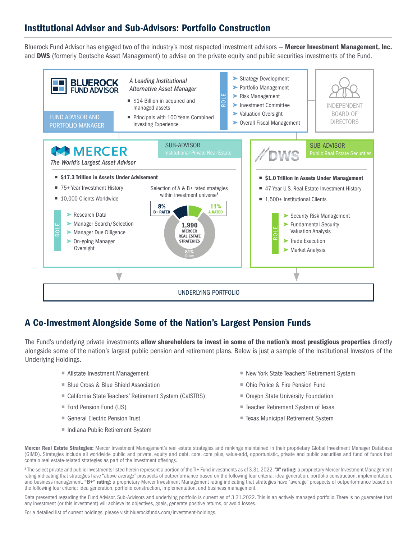## Institutional Advisor and Sub-Advisors: Portfolio Construction

Bluerock Fund Advisor has engaged two of the industry's most respected investment advisors - Mercer Investment Management, Inc. and DWS (formerly Deutsche Asset Management) to advise on the private equity and public securities investments of the Fund.



## A Co-Investment Alongside Some of the Nation's Largest Pension Funds

The Fund's underlying private investments allow shareholders to invest in some of the nation's most prestigious properties directly alongside some of the nation's largest public pension and retirement plans. Below is just a sample of the Institutional Investors of the Underlying Holdings.

- Allstate Investment Management
- **Blue Cross & Blue Shield Association**
- California State Teachers' Retirement System (CalSTRS)
- Ford Pension Fund (US)
- General Electric Pension Trust
- Indiana Public Retirement System
- New York State Teachers' Retirement System
- Ohio Police & Fire Pension Fund
- Oregon State University Foundation
- Teacher Retirement System of Texas
- Texas Municipal Retirement System

Mercer Real Estate Strategies: Mercer Investment Management's real estate strategies and rankings maintained in their proprietary Global Investment Manager Database (GIMD). Strategies include all worldwide public and private, equity and debt, core, core plus, value-add, opportunistic, private and public securities and fund of funds that contain real estate-related strategies as part of the investment offerings.

<sup>8</sup> The select private and public investments listed herein represent a portion of the TI+ Fund investments as of 3.31.2022. "A" rating: a proprietary Mercer Investment Management rating indicating that strategies have "above average" prospects of outperformance based on the following four criteria: idea generation, portfolio construction, implementation, and business management. "B+" rating: a proprietary Mercer Investment Management rating indicating that strategies have "average" prospects of outperformance based on the following four criteria: idea generation, portfolio construction, implementation, and business management.

Data presented regarding the Fund Advisor, Sub-Advisors and underlying portfolio is current as of 3.31.2022. This is an actively managed portfolio. There is no guarantee that any investment (or this investment) will achieve its objectives, goals, generate positive returns, or avoid losses.

For a detailed list of current holdings, please visit bluerockfunds.com/investment-holdings.